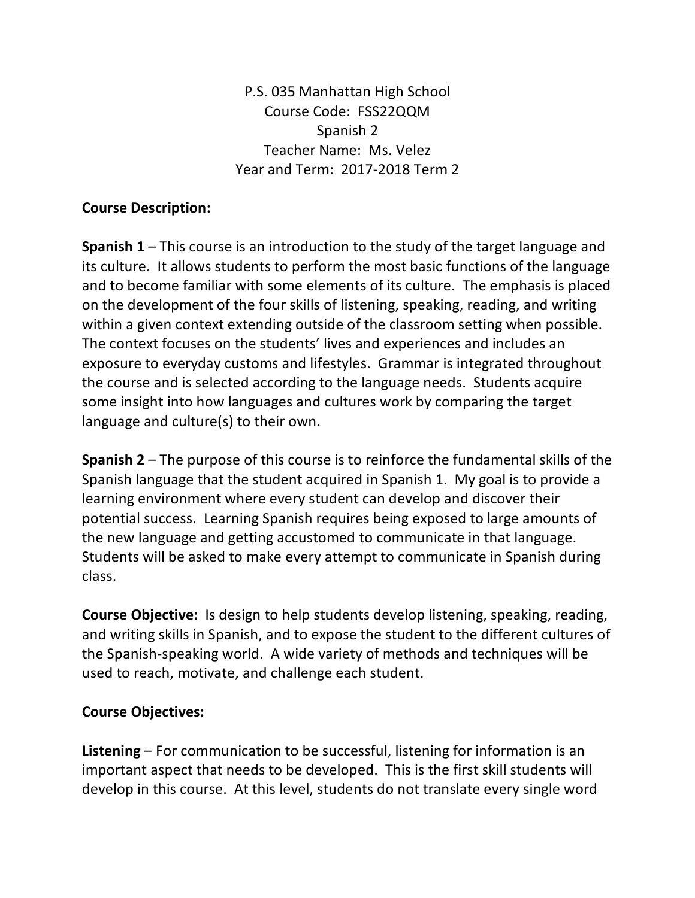P.S. 035 Manhattan High School Course Code: FSS22QQM Spanish 2 Teacher Name: Ms. Velez Year and Term: 2017-2018 Term 2

## **Course Description:**

**Spanish 1** – This course is an introduction to the study of the target language and its culture. It allows students to perform the most basic functions of the language and to become familiar with some elements of its culture. The emphasis is placed on the development of the four skills of listening, speaking, reading, and writing within a given context extending outside of the classroom setting when possible. The context focuses on the students' lives and experiences and includes an exposure to everyday customs and lifestyles. Grammar is integrated throughout the course and is selected according to the language needs. Students acquire some insight into how languages and cultures work by comparing the target language and culture(s) to their own.

**Spanish 2** – The purpose of this course is to reinforce the fundamental skills of the Spanish language that the student acquired in Spanish 1. My goal is to provide a learning environment where every student can develop and discover their potential success. Learning Spanish requires being exposed to large amounts of the new language and getting accustomed to communicate in that language. Students will be asked to make every attempt to communicate in Spanish during class.

**Course Objective:** Is design to help students develop listening, speaking, reading, and writing skills in Spanish, and to expose the student to the different cultures of the Spanish-speaking world. A wide variety of methods and techniques will be used to reach, motivate, and challenge each student.

### **Course Objectives:**

**Listening** – For communication to be successful, listening for information is an important aspect that needs to be developed. This is the first skill students will develop in this course. At this level, students do not translate every single word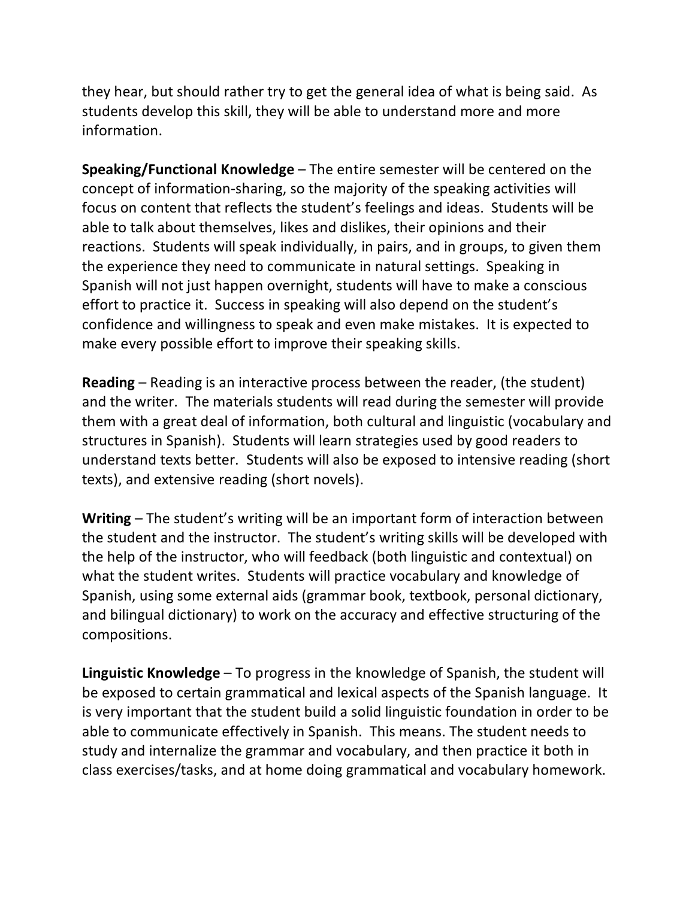they hear, but should rather try to get the general idea of what is being said. As students develop this skill, they will be able to understand more and more information.

**Speaking/Functional Knowledge** – The entire semester will be centered on the concept of information-sharing, so the majority of the speaking activities will focus on content that reflects the student's feelings and ideas. Students will be able to talk about themselves, likes and dislikes, their opinions and their reactions. Students will speak individually, in pairs, and in groups, to given them the experience they need to communicate in natural settings. Speaking in Spanish will not just happen overnight, students will have to make a conscious effort to practice it. Success in speaking will also depend on the student's confidence and willingness to speak and even make mistakes. It is expected to make every possible effort to improve their speaking skills.

**Reading** – Reading is an interactive process between the reader, (the student) and the writer. The materials students will read during the semester will provide them with a great deal of information, both cultural and linguistic (vocabulary and structures in Spanish). Students will learn strategies used by good readers to understand texts better. Students will also be exposed to intensive reading (short texts), and extensive reading (short novels).

**Writing** – The student's writing will be an important form of interaction between the student and the instructor. The student's writing skills will be developed with the help of the instructor, who will feedback (both linguistic and contextual) on what the student writes. Students will practice vocabulary and knowledge of Spanish, using some external aids (grammar book, textbook, personal dictionary, and bilingual dictionary) to work on the accuracy and effective structuring of the compositions.

**Linguistic Knowledge** – To progress in the knowledge of Spanish, the student will be exposed to certain grammatical and lexical aspects of the Spanish language. It is very important that the student build a solid linguistic foundation in order to be able to communicate effectively in Spanish. This means. The student needs to study and internalize the grammar and vocabulary, and then practice it both in class exercises/tasks, and at home doing grammatical and vocabulary homework.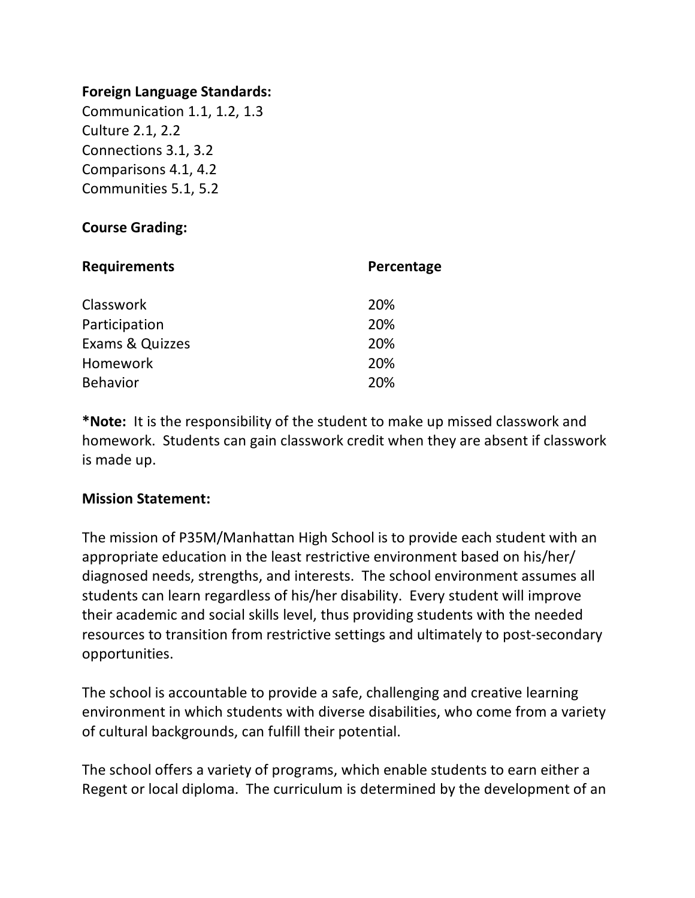#### **Foreign Language Standards:**

Communication 1.1, 1.2, 1.3 Culture 2.1, 2.2 Connections 3.1, 3.2 Comparisons 4.1, 4.2 Communities 5.1, 5.2

### **Course Grading:**

| <b>Requirements</b>        | Percentage |
|----------------------------|------------|
| Classwork                  | 20%        |
| Participation              | 20%        |
| <b>Exams &amp; Quizzes</b> | 20%        |
| Homework                   | 20%        |
| <b>Behavior</b>            | 20%        |

**\*Note:** It is the responsibility of the student to make up missed classwork and homework. Students can gain classwork credit when they are absent if classwork is made up.

### **Mission Statement:**

The mission of P35M/Manhattan High School is to provide each student with an appropriate education in the least restrictive environment based on his/her/ diagnosed needs, strengths, and interests. The school environment assumes all students can learn regardless of his/her disability. Every student will improve their academic and social skills level, thus providing students with the needed resources to transition from restrictive settings and ultimately to post-secondary opportunities.

The school is accountable to provide a safe, challenging and creative learning environment in which students with diverse disabilities, who come from a variety of cultural backgrounds, can fulfill their potential.

The school offers a variety of programs, which enable students to earn either a Regent or local diploma. The curriculum is determined by the development of an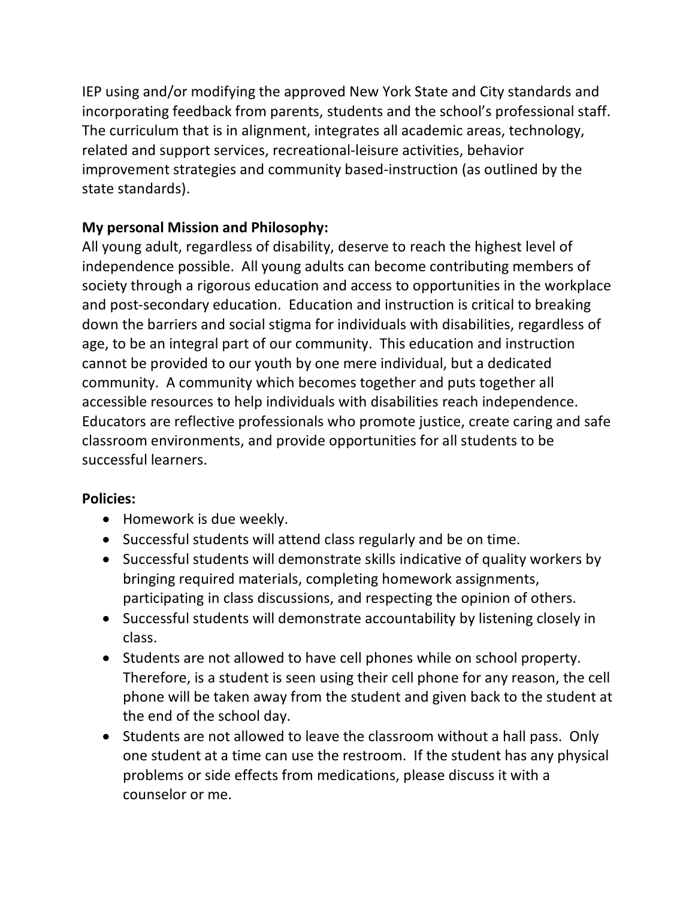IEP using and/or modifying the approved New York State and City standards and incorporating feedback from parents, students and the school's professional staff. The curriculum that is in alignment, integrates all academic areas, technology, related and support services, recreational-leisure activities, behavior improvement strategies and community based-instruction (as outlined by the state standards).

# **My personal Mission and Philosophy:**

All young adult, regardless of disability, deserve to reach the highest level of independence possible. All young adults can become contributing members of society through a rigorous education and access to opportunities in the workplace and post-secondary education. Education and instruction is critical to breaking down the barriers and social stigma for individuals with disabilities, regardless of age, to be an integral part of our community. This education and instruction cannot be provided to our youth by one mere individual, but a dedicated community. A community which becomes together and puts together all accessible resources to help individuals with disabilities reach independence. Educators are reflective professionals who promote justice, create caring and safe classroom environments, and provide opportunities for all students to be successful learners.

# **Policies:**

- Homework is due weekly.
- Successful students will attend class regularly and be on time.
- Successful students will demonstrate skills indicative of quality workers by bringing required materials, completing homework assignments, participating in class discussions, and respecting the opinion of others.
- Successful students will demonstrate accountability by listening closely in class.
- Students are not allowed to have cell phones while on school property. Therefore, is a student is seen using their cell phone for any reason, the cell phone will be taken away from the student and given back to the student at the end of the school day.
- Students are not allowed to leave the classroom without a hall pass. Only one student at a time can use the restroom. If the student has any physical problems or side effects from medications, please discuss it with a counselor or me.